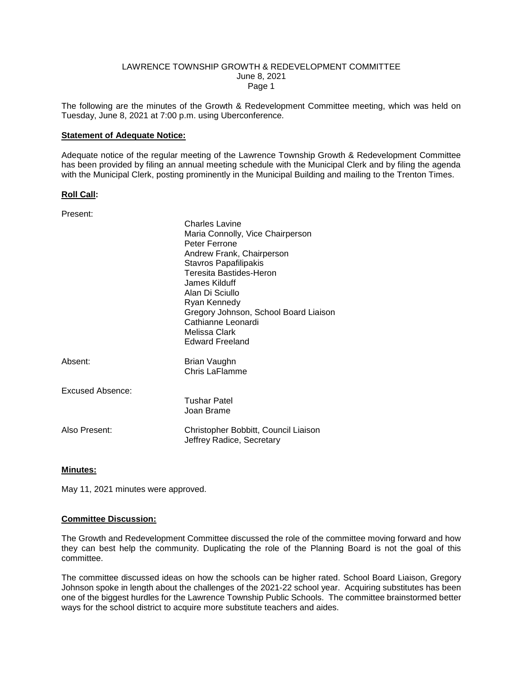#### LAWRENCE TOWNSHIP GROWTH & REDEVELOPMENT COMMITTEE June 8, 2021 Page 1

The following are the minutes of the Growth & Redevelopment Committee meeting, which was held on Tuesday, June 8, 2021 at 7:00 p.m. using Uberconference.

#### **Statement of Adequate Notice:**

Adequate notice of the regular meeting of the Lawrence Township Growth & Redevelopment Committee has been provided by filing an annual meeting schedule with the Municipal Clerk and by filing the agenda with the Municipal Clerk, posting prominently in the Municipal Building and mailing to the Trenton Times.

#### **Roll Call:**

| Present:         |                                                                                                                                                                                                                                                                                                                                  |
|------------------|----------------------------------------------------------------------------------------------------------------------------------------------------------------------------------------------------------------------------------------------------------------------------------------------------------------------------------|
|                  | <b>Charles Lavine</b><br>Maria Connolly, Vice Chairperson<br>Peter Ferrone<br>Andrew Frank, Chairperson<br>Stavros Papafilipakis<br><b>Teresita Bastides-Heron</b><br>James Kilduff<br>Alan Di Sciullo<br>Ryan Kennedy<br>Gregory Johnson, School Board Liaison<br>Cathianne Leonardi<br>Melissa Clark<br><b>Edward Freeland</b> |
| Absent:          | Brian Vaughn<br>Chris LaFlamme                                                                                                                                                                                                                                                                                                   |
| Excused Absence: | Tushar Patel<br>Joan Brame                                                                                                                                                                                                                                                                                                       |
| Also Present:    | Christopher Bobbitt, Council Liaison<br>Jeffrey Radice, Secretary                                                                                                                                                                                                                                                                |

# **Minutes:**

May 11, 2021 minutes were approved.

#### **Committee Discussion:**

The Growth and Redevelopment Committee discussed the role of the committee moving forward and how they can best help the community. Duplicating the role of the Planning Board is not the goal of this committee.

The committee discussed ideas on how the schools can be higher rated. School Board Liaison, Gregory Johnson spoke in length about the challenges of the 2021-22 school year. Acquiring substitutes has been one of the biggest hurdles for the Lawrence Township Public Schools. The committee brainstormed better ways for the school district to acquire more substitute teachers and aides.